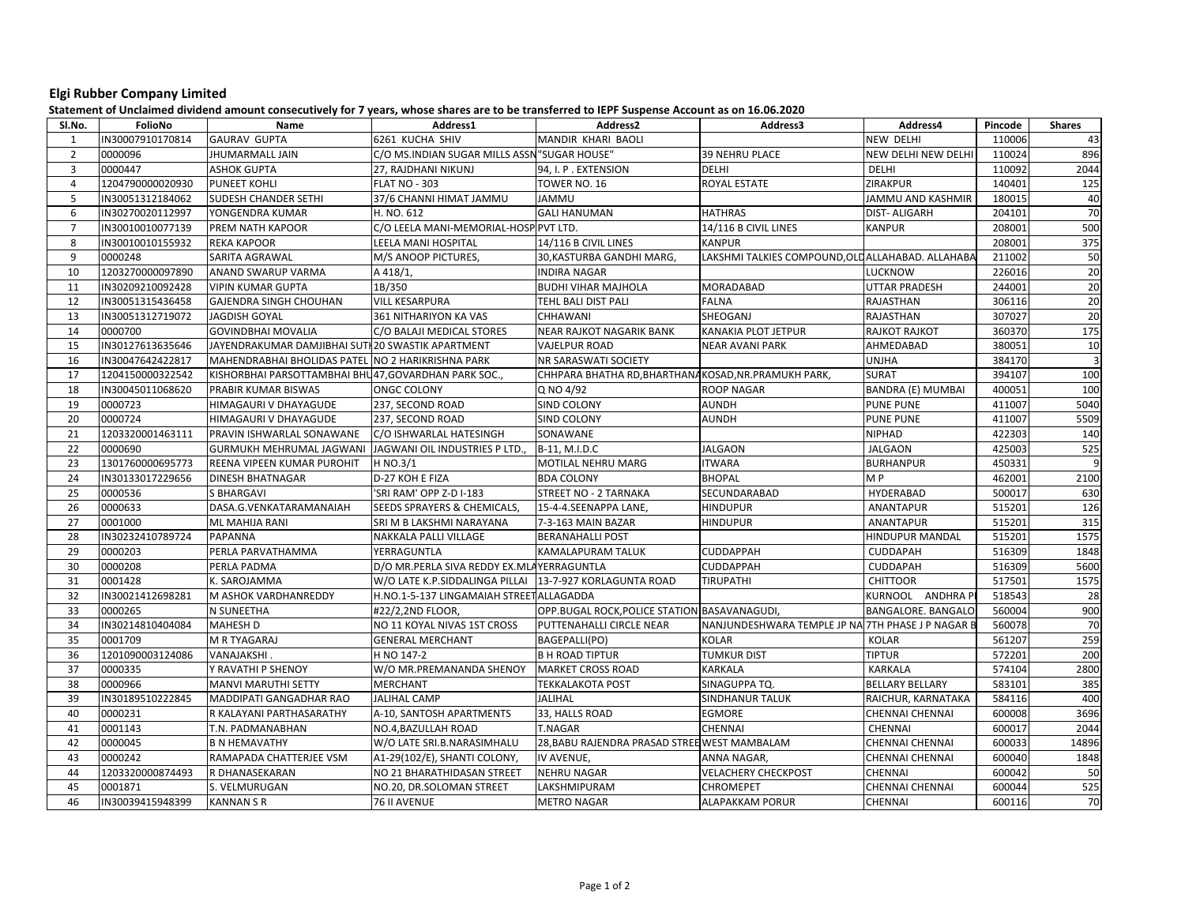## Elgi Rubber Company Limited

Statement of Unclaimed dividend amount consecutively for 7 years, whose shares are to be transferred to IEPF Suspense Account as on 16.06.2020

| SI.No.         | FolioNo          | Name                                              | Address1                                     | Address2                                             | Address3                                          | Address4                   | Pincode | <b>Shares</b>  |
|----------------|------------------|---------------------------------------------------|----------------------------------------------|------------------------------------------------------|---------------------------------------------------|----------------------------|---------|----------------|
| 1              | IN30007910170814 | <b>GAURAV GUPTA</b>                               | 6261 KUCHA SHIV                              | MANDIR KHARI BAOLI                                   |                                                   | <b>NEW DELHI</b>           | 110006  | 43             |
| $\overline{2}$ | 0000096          | <b>JHUMARMALL JAIN</b>                            | C/O MS.INDIAN SUGAR MILLS ASSN "SUGAR HOUSE" |                                                      | <b>39 NEHRU PLACE</b>                             | <b>NEW DELHI NEW DELHI</b> | 110024  | 896            |
| $\overline{3}$ | 0000447          | <b>ASHOK GUPTA</b>                                | 27, RAJDHANI NIKUNJ                          | 94, I. P. EXTENSION                                  | <b>DELHI</b>                                      | <b>DELHI</b>               | 110092  | 2044           |
| $\overline{4}$ | 1204790000020930 | PUNEET KOHLI                                      | <b>FLAT NO - 303</b>                         | TOWER NO. 16                                         | ROYAL ESTATE                                      | ZIRAKPUR                   | 140401  | 125            |
| 5              | IN30051312184062 | SUDESH CHANDER SETHI                              | 37/6 CHANNI HIMAT JAMMU                      | <b>JAMMU</b>                                         |                                                   | JAMMU AND KASHMIR          | 180015  | 40             |
| 6              | IN30270020112997 | YONGENDRA KUMAR                                   | H. NO. 612                                   | <b>GALI HANUMAN</b>                                  | <b>HATHRAS</b>                                    | DIST- ALIGARH              | 204101  | 70             |
| $\overline{7}$ | IN30010010077139 | PREM NATH KAPOOR                                  | C/O LEELA MANI-MEMORIAL-HOSP PVT LTD.        |                                                      | 14/116 B CIVIL LINES                              | <b>KANPUR</b>              | 208001  | 500            |
| 8              | IN30010010155932 | <b>REKA KAPOOR</b>                                | LEELA MANI HOSPITAL                          | 14/116 B CIVIL LINES                                 | <b>KANPUR</b>                                     |                            | 208001  | 375            |
| 9              | 0000248          | SARITA AGRAWAL                                    | M/S ANOOP PICTURES,                          | 30,KASTURBA GANDHI MARG,                             | LAKSHMI TALKIES COMPOUND, OLD ALLAHABAD. ALLAHABA |                            | 211002  | 50             |
| 10             | 1203270000097890 | ANAND SWARUP VARMA                                | A 418/1,                                     | <b>INDIRA NAGAR</b>                                  |                                                   | <b>LUCKNOW</b>             | 226016  | 20             |
| 11             | IN30209210092428 | <b>VIPIN KUMAR GUPTA</b>                          | 1B/350                                       | <b>BUDHI VIHAR MAJHOLA</b>                           | <b>MORADABAD</b>                                  | UTTAR PRADESH              | 244001  | 20             |
| 12             | IN30051315436458 | GAJENDRA SINGH CHOUHAN                            | <b>VILL KESARPURA</b>                        | TEHL BALI DIST PALI                                  | <b>FALNA</b>                                      | RAJASTHAN                  | 306116  | 20             |
| 13             | IN30051312719072 | <b>JAGDISH GOYAL</b>                              | 361 NITHARIYON KA VAS                        | CHHAWANI                                             | SHEOGANJ                                          | RAJASTHAN                  | 307027  | 20             |
| 14             | 0000700          | <b>GOVINDBHAI MOVALIA</b>                         | C/O BALAJI MEDICAL STORES                    | NEAR RAJKOT NAGARIK BANK                             | KANAKIA PLOT JETPUR                               | <b>RAJKOT RAJKOT</b>       | 360370  | 175            |
| 15             | IN30127613635646 | JAYENDRAKUMAR DAMJIBHAI SUTI 20 SWASTIK APARTMENT |                                              | <b>VAJELPUR ROAD</b>                                 | <b>NEAR AVANI PARK</b>                            | AHMEDABAD                  | 380051  | 10             |
| 16             | IN30047642422817 | MAHENDRABHAI BHOLIDAS PATEL NO 2 HARIKRISHNA PARK |                                              | NR SARASWATI SOCIETY                                 |                                                   | <b>UNJHA</b>               | 384170  | $\overline{3}$ |
| 17             | 1204150000322542 | KISHORBHAI PARSOTTAMBHAI BHU47.GOVARDHAN PARK SOC |                                              | CHHPARA BHATHA RD, BHARTHANAKOSAD, NR. PRAMUKH PARK, |                                                   | <b>SURAT</b>               | 394107  | 100            |
| 18             | IN30045011068620 | PRABIR KUMAR BISWAS                               | <b>ONGC COLONY</b>                           | Q NO 4/92                                            | <b>ROOP NAGAR</b>                                 | BANDRA (E) MUMBAI          | 400051  | 100            |
| 19             | 0000723          | HIMAGAURI V DHAYAGUDE                             | 237, SECOND ROAD                             | SIND COLONY                                          | <b>AUNDH</b>                                      | <b>PUNE PUNE</b>           | 411007  | 5040           |
| 20             | 0000724          | HIMAGAURI V DHAYAGUDE                             | 237, SECOND ROAD                             | SIND COLONY                                          | <b>AUNDH</b>                                      | <b>PUNE PUNE</b>           | 411007  | 5509           |
| 21             | 1203320001463111 | PRAVIN ISHWARLAL SONAWANE                         | C/O ISHWARLAL HATESINGH                      | SONAWANE                                             |                                                   | <b>NIPHAD</b>              | 422303  | 140            |
| 22             | 0000690          | GURMUKH MEHRUMAL JAGWANI                          | JAGWANI OIL INDUSTRIES P LTD.                | B-11, M.I.D.C                                        | <b>JALGAON</b>                                    | <b>JALGAON</b>             | 425003  | 525            |
| 23             | 1301760000695773 | REENA VIPEEN KUMAR PUROHIT                        | H NO.3/1                                     | MOTILAL NEHRU MARG                                   | <b>ITWARA</b>                                     | <b>BURHANPUR</b>           | 450331  | 9              |
| 24             | IN30133017229656 | <b>DINESH BHATNAGAR</b>                           | D-27 KOH E FIZA                              | <b>BDA COLONY</b>                                    | <b>BHOPAL</b>                                     | M P                        | 462001  | 2100           |
| 25             | 0000536          | <b>S BHARGAVI</b>                                 | 'SRI RAM' OPP Z-D I-183                      | STREET NO - 2 TARNAKA                                | SECUNDARABAD                                      | HYDERABAD                  | 500017  | 630            |
| 26             | 0000633          | DASA.G.VENKATARAMANAIAH                           | SEEDS SPRAYERS & CHEMICALS,                  | 15-4-4.SEENAPPA LANE,                                | <b>HINDUPUR</b>                                   | <b>ANANTAPUR</b>           | 515201  | 126            |
| 27             | 0001000          | ML MAHIJA RANI                                    | SRI M B LAKSHMI NARAYANA                     | 7-3-163 MAIN BAZAR                                   | <b>HINDUPUR</b>                                   | <b>ANANTAPUR</b>           | 515201  | 315            |
| 28             | IN30232410789724 | <b>PAPANNA</b>                                    | NAKKALA PALLI VILLAGE                        | <b>BERANAHALLI POST</b>                              |                                                   | <b>HINDUPUR MANDAL</b>     | 515201  | 1575           |
| 29             | 0000203          | PERLA PARVATHAMMA                                 | YERRAGUNTLA                                  | KAMALAPURAM TALUK                                    | <b>CUDDAPPAH</b>                                  | <b>CUDDAPAH</b>            | 516309  | 1848           |
| 30             | 0000208          | PERLA PADMA                                       | D/O MR.PERLA SIVA REDDY EX.MLAYERRAGUNTLA    |                                                      | <b>CUDDAPPAH</b>                                  | <b>CUDDAPAH</b>            | 516309  | 5600           |
| 31             | 0001428          | K. SAROJAMMA                                      | W/O LATE K.P.SIDDALINGA PILLAI               | 13-7-927 KORLAGUNTA ROAD                             | <b>TIRUPATHI</b>                                  | <b>CHITTOOR</b>            | 517501  | 1575           |
| 32             | IN30021412698281 | M ASHOK VARDHANREDDY                              | H.NO.1-5-137 LINGAMAIAH STREET ALLAGADDA     |                                                      |                                                   | KURNOOL ANDHRAP            | 518543  | 28             |
| 33             | 0000265          | N SUNEETHA                                        | #22/2,2ND FLOOR,                             | OPP.BUGAL ROCK, POLICE STATION BASAVANAGUDI,         |                                                   | BANGALORE. BANGALO         | 560004  | 900            |
| 34             | IN30214810404084 | MAHESH D                                          | NO 11 KOYAL NIVAS 1ST CROSS                  | PUTTENAHALLI CIRCLE NEAR                             | NANJUNDESHWARA TEMPLE JP NA 7TH PHASE J P NAGAR B |                            | 560078  | 70             |
| 35             | 0001709          | <b>M R TYAGARAJ</b>                               | <b>GENERAL MERCHANT</b>                      | BAGEPALLI(PO)                                        | <b>KOLAR</b>                                      | <b>KOLAR</b>               | 561207  | 259            |
| 36             | 1201090003124086 | VANAJAKSHI.                                       | H NO 147-2                                   | <b>B H ROAD TIPTUR</b>                               | <b>TUMKUR DIST</b>                                | <b>TIPTUR</b>              | 572201  | 200            |
| 37             | 0000335          | Y RAVATHI P SHENOY                                | W/O MR.PREMANANDA SHENOY                     | <b>MARKET CROSS ROAD</b>                             | <b>KARKALA</b>                                    | <b>KARKALA</b>             | 574104  | 2800           |
| 38             | 0000966          | <b>MANVI MARUTHI SETTY</b>                        | MERCHANT                                     | <b>TEKKALAKOTA POST</b>                              | SINAGUPPA TQ.                                     | <b>BELLARY BELLARY</b>     | 583101  | 385            |
| 39             | IN30189510222845 | MADDIPATI GANGADHAR RAO                           | <b>JALIHAL CAMP</b>                          | <b>JALIHAL</b>                                       | <b>SINDHANUR TALUK</b>                            | RAICHUR, KARNATAKA         | 584116  | 400            |
| 40             | 0000231          | R KALAYANI PARTHASARATHY                          | A-10, SANTOSH APARTMENTS                     | 33, HALLS ROAD                                       | EGMORE                                            | <b>CHENNAI CHENNAI</b>     | 600008  | 3696           |
| 41             | 0001143          | T.N. PADMANABHAN                                  | NO.4,BAZULLAH ROAD                           | <b>T.NAGAR</b>                                       | CHENNAI                                           | CHENNAI                    | 600017  | 2044           |
| 42             | 0000045          | <b>B N HEMAVATHY</b>                              | W/O LATE SRI.B.NARASIMHALU                   | 28, BABU RAJENDRA PRASAD STREE WEST MAMBALAM         |                                                   | <b>CHENNAI CHENNAI</b>     | 600033  | 14896          |
| 43             | 0000242          | RAMAPADA CHATTERJEE VSM                           | A1-29(102/E), SHANTI COLONY,                 | IV AVENUE,                                           | ANNA NAGAR,                                       | <b>CHENNAI CHENNAI</b>     | 600040  | 1848           |
| 44             | 1203320000874493 | R DHANASEKARAN                                    | NO 21 BHARATHIDASAN STREET                   | <b>NEHRU NAGAR</b>                                   | <b>VELACHERY CHECKPOST</b>                        | CHENNAI                    | 600042  | 50             |
| 45             | 0001871          | S. VELMURUGAN                                     | NO.20, DR.SOLOMAN STREET                     | LAKSHMIPURAM                                         | <b>CHROMEPET</b>                                  | <b>CHENNAI CHENNAI</b>     | 600044  | 525            |
| 46             | IN30039415948399 | <b>KANNAN S R</b>                                 | 76 II AVENUE                                 | <b>METRO NAGAR</b>                                   | <b>ALAPAKKAM PORUR</b>                            | <b>CHENNAI</b>             | 600116  | 70             |